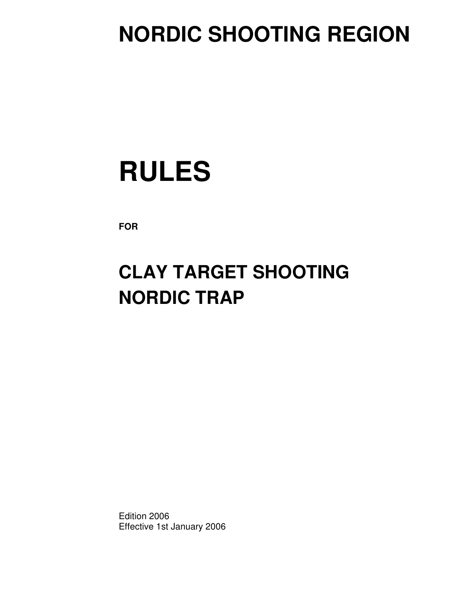## **NORDIC SHOOTING REGION**

# **RULES**

**FOR**

## **CLAY TARGET SHOOTING NORDIC TRAP**

Edition 2006 Effective 1st January 2006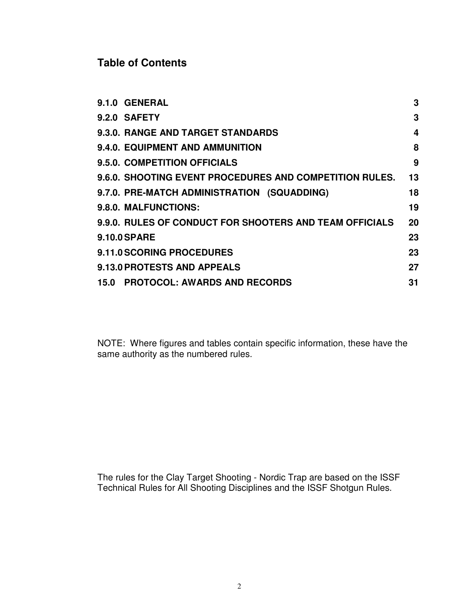## **Table of Contents**

|                     | 9.1.0 GENERAL                                           | 3  |
|---------------------|---------------------------------------------------------|----|
|                     | 9.2.0 SAFETY                                            | 3  |
|                     | 9.3.0. RANGE AND TARGET STANDARDS                       | 4  |
|                     | 9.4.0. EQUIPMENT AND AMMUNITION                         | 8  |
|                     | 9.5.0. COMPETITION OFFICIALS                            | 9  |
|                     | 9.6.0. SHOOTING EVENT PROCEDURES AND COMPETITION RULES. | 13 |
|                     | 9.7.0. PRE-MATCH ADMINISTRATION (SQUADDING)             | 18 |
|                     | 9.8.0. MALFUNCTIONS:                                    | 19 |
|                     | 9.9.0. RULES OF CONDUCT FOR SHOOTERS AND TEAM OFFICIALS | 20 |
| <b>9.10.0 SPARE</b> |                                                         | 23 |
|                     | 9.11.0 SCORING PROCEDURES                               | 23 |
|                     | 9.13.0 PROTESTS AND APPEALS                             | 27 |
|                     | 15.0 PROTOCOL: AWARDS AND RECORDS                       | 31 |
|                     |                                                         |    |

NOTE: Where figures and tables contain specific information, these have the same authority as the numbered rules.

The rules for the Clay Target Shooting - Nordic Trap are based on the ISSF Technical Rules for All Shooting Disciplines and the ISSF Shotgun Rules.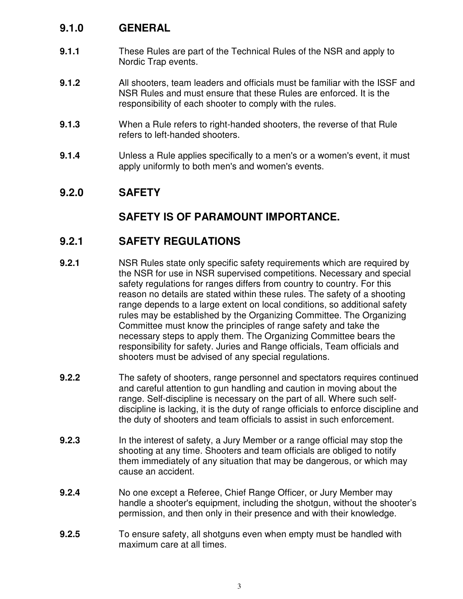## **9.1.0 GENERAL**

- **9.1.1** These Rules are part of the Technical Rules of the NSR and apply to Nordic Trap events.
- **9.1.2** All shooters, team leaders and officials must be familiar with the ISSF and NSR Rules and must ensure that these Rules are enforced. It is the responsibility of each shooter to comply with the rules.
- **9.1.3** When a Rule refers to right-handed shooters, the reverse of that Rule refers to left-handed shooters.
- **9.1.4** Unless a Rule applies specifically to a men's or a women's event, it must apply uniformly to both men's and women's events.

## **9.2.0 SAFETY**

## **SAFETY IS OF PARAMOUNT IMPORTANCE.**

## **9.2.1 SAFETY REGULATIONS**

- **9.2.1** NSR Rules state only specific safety requirements which are required by the NSR for use in NSR supervised competitions. Necessary and special safety regulations for ranges differs from country to country. For this reason no details are stated within these rules. The safety of a shooting range depends to a large extent on local conditions, so additional safety rules may be established by the Organizing Committee. The Organizing Committee must know the principles of range safety and take the necessary steps to apply them. The Organizing Committee bears the responsibility for safety. Juries and Range officials, Team officials and shooters must be advised of any special regulations.
- **9.2.2** The safety of shooters, range personnel and spectators requires continued and careful attention to gun handling and caution in moving about the range. Self-discipline is necessary on the part of all. Where such selfdiscipline is lacking, it is the duty of range officials to enforce discipline and the duty of shooters and team officials to assist in such enforcement.
- **9.2.3** In the interest of safety, a Jury Member or a range official may stop the shooting at any time. Shooters and team officials are obliged to notify them immediately of any situation that may be dangerous, or which may cause an accident.
- **9.2.4** No one except a Referee, Chief Range Officer, or Jury Member may handle a shooter's equipment, including the shotgun, without the shooter's permission, and then only in their presence and with their knowledge.
- **9.2.5** To ensure safety, all shotguns even when empty must be handled with maximum care at all times.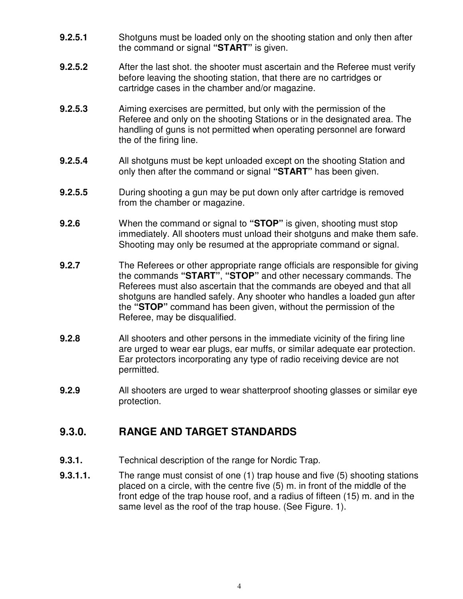- **9.2.5.1** Shotguns must be loaded only on the shooting station and only then after the command or signal **"START"** is given.
- **9.2.5.2** After the last shot. the shooter must ascertain and the Referee must verify before leaving the shooting station, that there are no cartridges or cartridge cases in the chamber and/or magazine.
- **9.2.5.3** Aiming exercises are permitted, but only with the permission of the Referee and only on the shooting Stations or in the designated area. The handling of guns is not permitted when operating personnel are forward the of the firing line.
- **9.2.5.4** All shotguns must be kept unloaded except on the shooting Station and only then after the command or signal **"START"** has been given.
- **9.2.5.5** During shooting a gun may be put down only after cartridge is removed from the chamber or magazine.
- **9.2.6** When the command or signal to **"STOP"** is given, shooting must stop immediately. All shooters must unload their shotguns and make them safe. Shooting may only be resumed at the appropriate command or signal.
- **9.2.7** The Referees or other appropriate range officials are responsible for giving the commands **"START"**, **"STOP"** and other necessary commands. The Referees must also ascertain that the commands are obeyed and that all shotguns are handled safely. Any shooter who handles a loaded gun after the **"STOP"** command has been given, without the permission of the Referee, may be disqualified.
- **9.2.8** All shooters and other persons in the immediate vicinity of the firing line are urged to wear ear plugs, ear muffs, or similar adequate ear protection. Ear protectors incorporating any type of radio receiving device are not permitted.
- **9.2.9** All shooters are urged to wear shatterproof shooting glasses or similar eye protection.

## **9.3.0. RANGE AND TARGET STANDARDS**

- **9.3.1.** Technical description of the range for Nordic Trap.
- **9.3.1.1.** The range must consist of one (1) trap house and five (5) shooting stations placed on a circle, with the centre five (5) m. in front of the middle of the front edge of the trap house roof, and a radius of fifteen (15) m. and in the same level as the roof of the trap house. (See Figure. 1).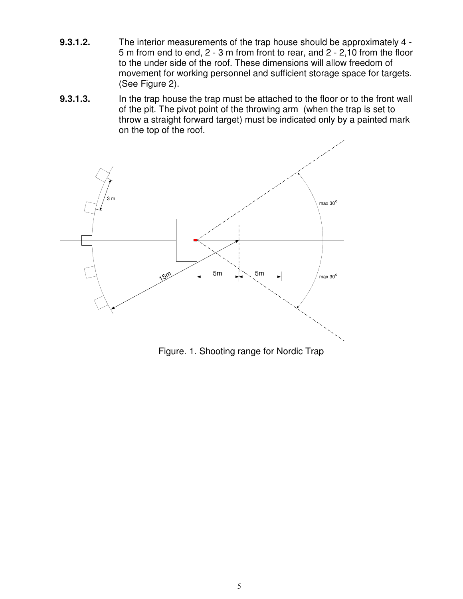- **9.3.1.2.** The interior measurements of the trap house should be approximately 4 5 m from end to end, 2 - 3 m from front to rear, and 2 - 2,10 from the floor to the under side of the roof. These dimensions will allow freedom of movement for working personnel and sufficient storage space for targets. (See Figure 2).
- **9.3.1.3.** In the trap house the trap must be attached to the floor or to the front wall of the pit. The pivot point of the throwing arm (when the trap is set to throw a straight forward target) must be indicated only by a painted mark on the top of the roof.



Figure. 1. Shooting range for Nordic Trap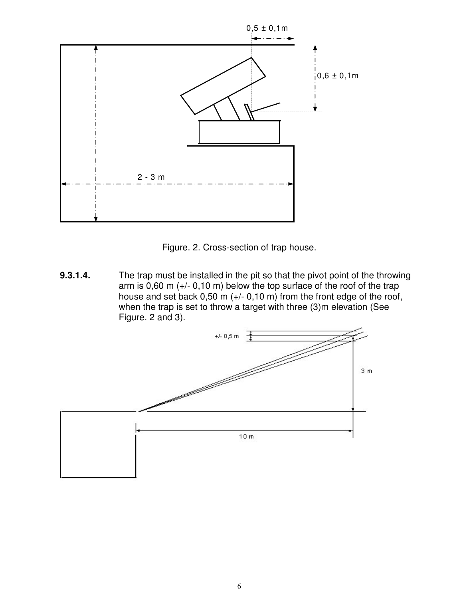



**9.3.1.4.** The trap must be installed in the pit so that the pivot point of the throwing arm is 0,60 m (+/- 0,10 m) below the top surface of the roof of the trap house and set back  $0,50$  m  $(+/- 0,10$  m) from the front edge of the roof, when the trap is set to throw a target with three (3)m elevation (See Figure. 2 and 3).

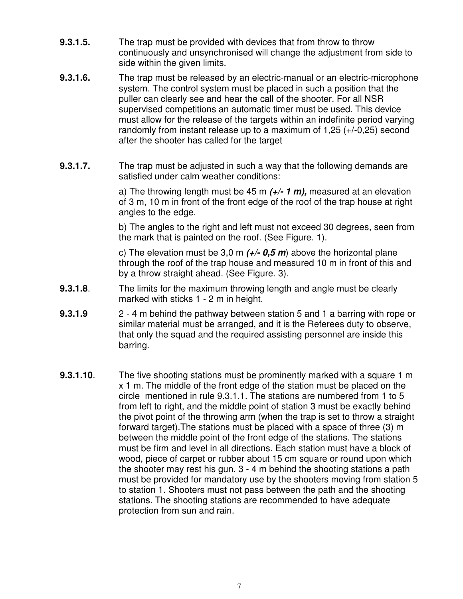- **9.3.1.5.** The trap must be provided with devices that from throw to throw continuously and unsynchronised will change the adjustment from side to side within the given limits.
- **9.3.1.6.** The trap must be released by an electric-manual or an electric-microphone system. The control system must be placed in such a position that the puller can clearly see and hear the call of the shooter. For all NSR supervised competitions an automatic timer must be used. This device must allow for the release of the targets within an indefinite period varying randomly from instant release up to a maximum of 1,25 (+/-0,25) second after the shooter has called for the target
- **9.3.1.7.** The trap must be adjusted in such a way that the following demands are satisfied under calm weather conditions:

a) The throwing length must be 45 m *(+/- 1 m),* measured at an elevation of 3 m, 10 m in front of the front edge of the roof of the trap house at right angles to the edge.

b) The angles to the right and left must not exceed 30 degrees, seen from the mark that is painted on the roof. (See Figure. 1).

c) The elevation must be 3,0 m *(+/- 0,5 m*) above the horizontal plane through the roof of the trap house and measured 10 m in front of this and by a throw straight ahead. (See Figure. 3).

- **9.3.1.8**. The limits for the maximum throwing length and angle must be clearly marked with sticks 1 - 2 m in height.
- **9.3.1.9** 2 4 m behind the pathway between station 5 and 1 a barring with rope or similar material must be arranged, and it is the Referees duty to observe, that only the squad and the required assisting personnel are inside this barring.
- **9.3.1.10**. The five shooting stations must be prominently marked with a square 1 m x 1 m. The middle of the front edge of the station must be placed on the circle mentioned in rule 9.3.1.1. The stations are numbered from 1 to 5 from left to right, and the middle point of station 3 must be exactly behind the pivot point of the throwing arm (when the trap is set to throw a straight forward target).The stations must be placed with a space of three (3) m between the middle point of the front edge of the stations. The stations must be firm and level in all directions. Each station must have a block of wood, piece of carpet or rubber about 15 cm square or round upon which the shooter may rest his gun. 3 - 4 m behind the shooting stations a path must be provided for mandatory use by the shooters moving from station 5 to station 1. Shooters must not pass between the path and the shooting stations. The shooting stations are recommended to have adequate protection from sun and rain.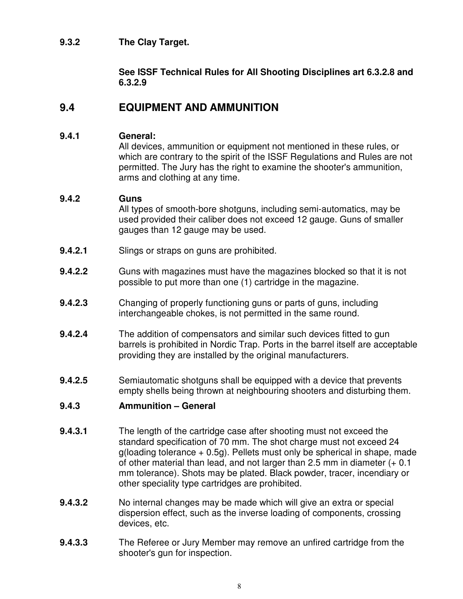#### **9.3.2 The Clay Target.**

#### **See ISSF Technical Rules for All Shooting Disciplines art 6.3.2.8 and 6.3.2.9**

#### **9.4 EQUIPMENT AND AMMUNITION**

#### **9.4.1 General:**

All devices, ammunition or equipment not mentioned in these rules, or which are contrary to the spirit of the ISSF Regulations and Rules are not permitted. The Jury has the right to examine the shooter's ammunition, arms and clothing at any time.

#### **9.4.2 Guns**

All types of smooth-bore shotguns, including semi-automatics, may be used provided their caliber does not exceed 12 gauge. Guns of smaller gauges than 12 gauge may be used.

- **9.4.2.1** Slings or straps on guns are prohibited.
- **9.4.2.2** Guns with magazines must have the magazines blocked so that it is not possible to put more than one (1) cartridge in the magazine.
- **9.4.2.3** Changing of properly functioning guns or parts of guns, including interchangeable chokes, is not permitted in the same round.
- **9.4.2.4** The addition of compensators and similar such devices fitted to gun barrels is prohibited in Nordic Trap. Ports in the barrel itself are acceptable providing they are installed by the original manufacturers.
- **9.4.2.5** Semiautomatic shotguns shall be equipped with a device that prevents empty shells being thrown at neighbouring shooters and disturbing them.

#### **9.4.3 Ammunition – General**

- **9.4.3.1** The length of the cartridge case after shooting must not exceed the standard specification of 70 mm. The shot charge must not exceed 24  $g$ (loading tolerance  $+$  0.5g). Pellets must only be spherical in shape, made of other material than lead, and not larger than 2.5 mm in diameter (+ 0.1 mm tolerance). Shots may be plated. Black powder, tracer, incendiary or other speciality type cartridges are prohibited.
- **9.4.3.2** No internal changes may be made which will give an extra or special dispersion effect, such as the inverse loading of components, crossing devices, etc.
- **9.4.3.3** The Referee or Jury Member may remove an unfired cartridge from the shooter's gun for inspection.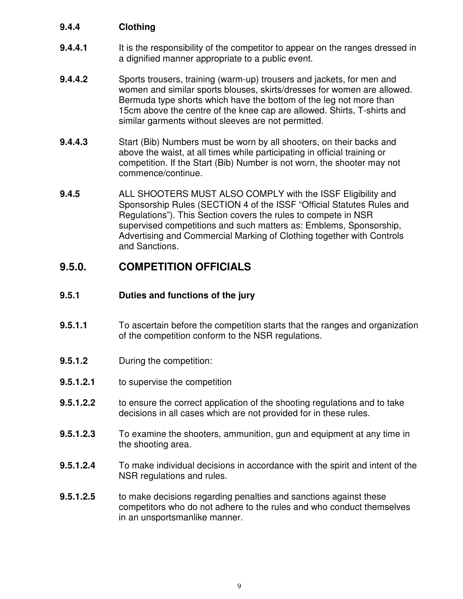#### **9.4.4 Clothing**

- **9.4.4.1** It is the responsibility of the competitor to appear on the ranges dressed in a dignified manner appropriate to a public event.
- **9.4.4.2** Sports trousers, training (warm-up) trousers and jackets, for men and women and similar sports blouses, skirts/dresses for women are allowed. Bermuda type shorts which have the bottom of the leg not more than 15cm above the centre of the knee cap are allowed. Shirts, T-shirts and similar garments without sleeves are not permitted.
- **9.4.4.3** Start (Bib) Numbers must be worn by all shooters, on their backs and above the waist, at all times while participating in official training or competition. If the Start (Bib) Number is not worn, the shooter may not commence/continue.
- **9.4.5** ALL SHOOTERS MUST ALSO COMPLY with the ISSF Eligibility and Sponsorship Rules (SECTION 4 of the ISSF "Official Statutes Rules and Regulations"). This Section covers the rules to compete in NSR supervised competitions and such matters as: Emblems, Sponsorship, Advertising and Commercial Marking of Clothing together with Controls and Sanctions.

## **9.5.0. COMPETITION OFFICIALS**

#### **9.5.1 Duties and functions of the jury**

- **9.5.1.1** To ascertain before the competition starts that the ranges and organization of the competition conform to the NSR regulations.
- **9.5.1.2** During the competition:
- **9.5.1.2.1** to supervise the competition
- **9.5.1.2.2** to ensure the correct application of the shooting regulations and to take decisions in all cases which are not provided for in these rules.
- **9.5.1.2.3** To examine the shooters, ammunition, gun and equipment at any time in the shooting area.
- **9.5.1.2.4** To make individual decisions in accordance with the spirit and intent of the NSR regulations and rules.
- **9.5.1.2.5** to make decisions regarding penalties and sanctions against these competitors who do not adhere to the rules and who conduct themselves in an unsportsmanlike manner.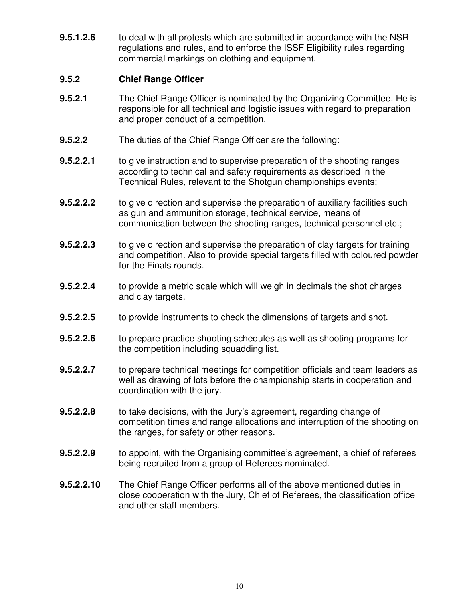**9.5.1.2.6** to deal with all protests which are submitted in accordance with the NSR regulations and rules, and to enforce the ISSF Eligibility rules regarding commercial markings on clothing and equipment.

#### **9.5.2 Chief Range Officer**

- **9.5.2.1** The Chief Range Officer is nominated by the Organizing Committee. He is responsible for all technical and logistic issues with regard to preparation and proper conduct of a competition.
- **9.5.2.2** The duties of the Chief Range Officer are the following:
- **9.5.2.2.1** to give instruction and to supervise preparation of the shooting ranges according to technical and safety requirements as described in the Technical Rules, relevant to the Shotgun championships events;
- **9.5.2.2.2** to give direction and supervise the preparation of auxiliary facilities such as gun and ammunition storage, technical service, means of communication between the shooting ranges, technical personnel etc.;
- **9.5.2.2.3** to give direction and supervise the preparation of clay targets for training and competition. Also to provide special targets filled with coloured powder for the Finals rounds.
- **9.5.2.2.4** to provide a metric scale which will weigh in decimals the shot charges and clay targets.
- **9.5.2.2.5** to provide instruments to check the dimensions of targets and shot.
- **9.5.2.2.6** to prepare practice shooting schedules as well as shooting programs for the competition including squadding list.
- **9.5.2.2.7** to prepare technical meetings for competition officials and team leaders as well as drawing of lots before the championship starts in cooperation and coordination with the jury.
- **9.5.2.2.8** to take decisions, with the Jury's agreement, regarding change of competition times and range allocations and interruption of the shooting on the ranges, for safety or other reasons.
- **9.5.2.2.9** to appoint, with the Organising committee's agreement, a chief of referees being recruited from a group of Referees nominated.
- **9.5.2.2.10** The Chief Range Officer performs all of the above mentioned duties in close cooperation with the Jury, Chief of Referees, the classification office and other staff members.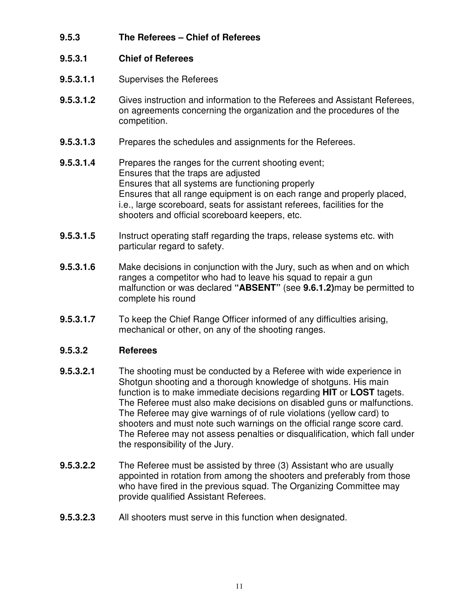**9.5.3 The Referees – Chief of Referees**

#### **9.5.3.1 Chief of Referees**

- **9.5.3.1.1** Supervises the Referees
- **9.5.3.1.2** Gives instruction and information to the Referees and Assistant Referees, on agreements concerning the organization and the procedures of the competition.
- **9.5.3.1.3** Prepares the schedules and assignments for the Referees.
- **9.5.3.1.4** Prepares the ranges for the current shooting event; Ensures that the traps are adjusted Ensures that all systems are functioning properly Ensures that all range equipment is on each range and properly placed, i.e., large scoreboard, seats for assistant referees, facilities for the shooters and official scoreboard keepers, etc.
- **9.5.3.1.5** Instruct operating staff regarding the traps, release systems etc. with particular regard to safety.
- **9.5.3.1.6** Make decisions in conjunction with the Jury, such as when and on which ranges a competitor who had to leave his squad to repair a gun malfunction or was declared **"ABSENT"** (see **9.6.1.2)**may be permitted to complete his round
- **9.5.3.1.7** To keep the Chief Range Officer informed of any difficulties arising, mechanical or other, on any of the shooting ranges.

#### **9.5.3.2 Referees**

- **9.5.3.2.1** The shooting must be conducted by a Referee with wide experience in Shotgun shooting and a thorough knowledge of shotguns. His main function is to make immediate decisions regarding **HIT** or **LOST** tagets. The Referee must also make decisions on disabled guns or malfunctions. The Referee may give warnings of of rule violations (yellow card) to shooters and must note such warnings on the official range score card. The Referee may not assess penalties or disqualification, which fall under the responsibility of the Jury.
- **9.5.3.2.2** The Referee must be assisted by three (3) Assistant who are usually appointed in rotation from among the shooters and preferably from those who have fired in the previous squad. The Organizing Committee may provide qualified Assistant Referees.
- **9.5.3.2.3** All shooters must serve in this function when designated.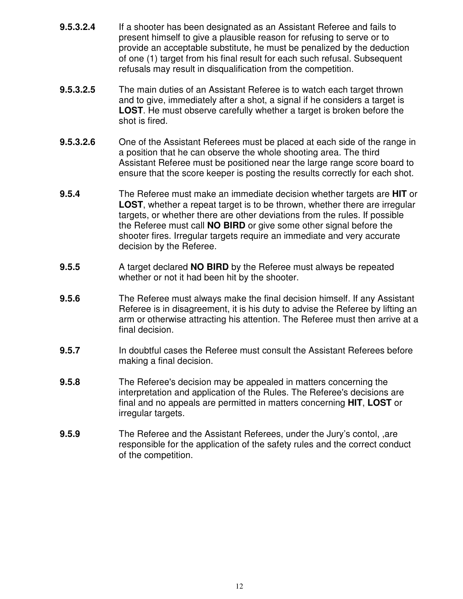- **9.5.3.2.4** If a shooter has been designated as an Assistant Referee and fails to present himself to give a plausible reason for refusing to serve or to provide an acceptable substitute, he must be penalized by the deduction of one (1) target from his final result for each such refusal. Subsequent refusals may result in disqualification from the competition.
- **9.5.3.2.5** The main duties of an Assistant Referee is to watch each target thrown and to give, immediately after a shot, a signal if he considers a target is **LOST**. He must observe carefully whether a target is broken before the shot is fired.
- **9.5.3.2.6** One of the Assistant Referees must be placed at each side of the range in a position that he can observe the whole shooting area. The third Assistant Referee must be positioned near the large range score board to ensure that the score keeper is posting the results correctly for each shot.
- **9.5.4** The Referee must make an immediate decision whether targets are **HIT** or **LOST**, whether a repeat target is to be thrown, whether there are irregular targets, or whether there are other deviations from the rules. If possible the Referee must call **NO BIRD** or give some other signal before the shooter fires. Irregular targets require an immediate and very accurate decision by the Referee.
- **9.5.5** A target declared **NO BIRD** by the Referee must always be repeated whether or not it had been hit by the shooter.
- **9.5.6** The Referee must always make the final decision himself. If any Assistant Referee is in disagreement, it is his duty to advise the Referee by lifting an arm or otherwise attracting his attention. The Referee must then arrive at a final decision.
- **9.5.7** In doubtful cases the Referee must consult the Assistant Referees before making a final decision.
- **9.5.8** The Referee's decision may be appealed in matters concerning the interpretation and application of the Rules. The Referee's decisions are final and no appeals are permitted in matters concerning **HIT**, **LOST** or irregular targets.
- **9.5.9** The Referee and the Assistant Referees, under the Jury's contol, ,are responsible for the application of the safety rules and the correct conduct of the competition.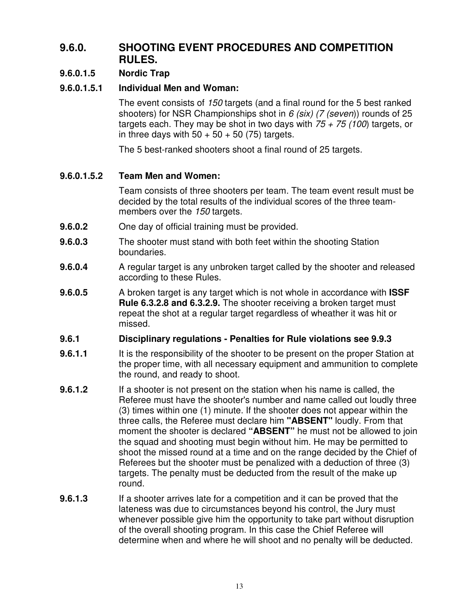## **9.6.0. SHOOTING EVENT PROCEDURES AND COMPETITION RULES.**

#### **9.6.0.1.5 Nordic Trap**

#### **9.6.0.1.5.1 Individual Men and Woman:**

The event consists of *150* targets (and a final round for the 5 best ranked shooters) for NSR Championships shot in *6 (six) (7 (seven*)) rounds of 25 targets each. They may be shot in two days with *75 + 75 (100*) targets, or in three days with  $50 + 50 + 50$  (75) targets.

The 5 best-ranked shooters shoot a final round of 25 targets.

#### **9.6.0.1.5.2 Team Men and Women:**

Team consists of three shooters per team. The team event result must be decided by the total results of the individual scores of the three teammembers over the *150* targets.

- **9.6.0.2** One day of official training must be provided.
- **9.6.0.3** The shooter must stand with both feet within the shooting Station boundaries.
- **9.6.0.4** A regular target is any unbroken target called by the shooter and released according to these Rules.
- **9.6.0.5** A broken target is any target which is not whole in accordance with **ISSF Rule 6.3.2.8 and 6.3.2.9.** The shooter receiving a broken target must repeat the shot at a regular target regardless of wheather it was hit or missed.

#### **9.6.1 Disciplinary regulations - Penalties for Rule violations see 9.9.3**

- **9.6.1.1** It is the responsibility of the shooter to be present on the proper Station at the proper time, with all necessary equipment and ammunition to complete the round, and ready to shoot.
- **9.6.1.2** If a shooter is not present on the station when his name is called, the Referee must have the shooter's number and name called out loudly three (3) times within one (1) minute. If the shooter does not appear within the three calls, the Referee must declare him **"ABSENT"** loudly. From that moment the shooter is declared **"ABSENT"** he must not be allowed to join the squad and shooting must begin without him. He may be permitted to shoot the missed round at a time and on the range decided by the Chief of Referees but the shooter must be penalized with a deduction of three (3) targets. The penalty must be deducted from the result of the make up round.
- **9.6.1.3** If a shooter arrives late for a competition and it can be proved that the lateness was due to circumstances beyond his control, the Jury must whenever possible give him the opportunity to take part without disruption of the overall shooting program. In this case the Chief Referee will determine when and where he will shoot and no penalty will be deducted.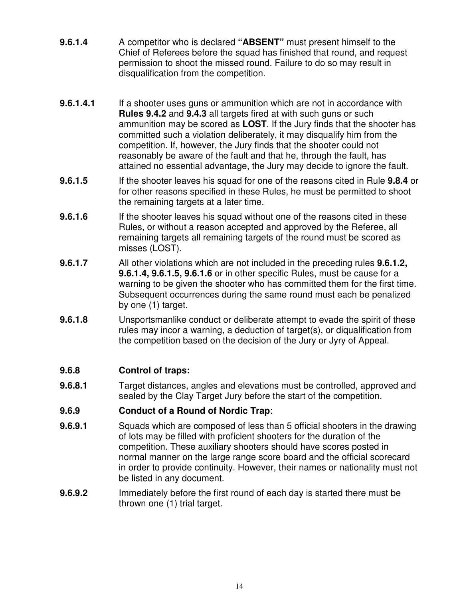- **9.6.1.4** A competitor who is declared **"ABSENT"** must present himself to the Chief of Referees before the squad has finished that round, and request permission to shoot the missed round. Failure to do so may result in disqualification from the competition.
- **9.6.1.4.1** If a shooter uses guns or ammunition which are not in accordance with **Rules 9.4.2** and **9.4.3** all targets fired at with such guns or such ammunition may be scored as **LOST**. If the Jury finds that the shooter has committed such a violation deliberately, it may disqualify him from the competition. If, however, the Jury finds that the shooter could not reasonably be aware of the fault and that he, through the fault, has attained no essential advantage, the Jury may decide to ignore the fault.
- **9.6.1.5** If the shooter leaves his squad for one of the reasons cited in Rule **9.8.4** or for other reasons specified in these Rules, he must be permitted to shoot the remaining targets at a later time.
- **9.6.1.6** If the shooter leaves his squad without one of the reasons cited in these Rules, or without a reason accepted and approved by the Referee, all remaining targets all remaining targets of the round must be scored as misses (LOST).
- **9.6.1.7** All other violations which are not included in the preceding rules **9.6.1.2, 9.6.1.4, 9.6.1.5, 9.6.1.6** or in other specific Rules, must be cause for a warning to be given the shooter who has committed them for the first time. Subsequent occurrences during the same round must each be penalized by one (1) target.
- **9.6.1.8** Unsportsmanlike conduct or deliberate attempt to evade the spirit of these rules may incor a warning, a deduction of target(s), or diqualification from the competition based on the decision of the Jury or Jyry of Appeal.

#### **9.6.8 Control of traps:**

**9.6.8.1** Target distances, angles and elevations must be controlled, approved and sealed by the Clay Target Jury before the start of the competition.

#### **9.6.9 Conduct of a Round of Nordic Trap**:

- **9.6.9.1** Squads which are composed of less than 5 official shooters in the drawing of lots may be filled with proficient shooters for the duration of the competition. These auxiliary shooters should have scores posted in normal manner on the large range score board and the official scorecard in order to provide continuity. However, their names or nationality must not be listed in any document.
- **9.6.9.2** Immediately before the first round of each day is started there must be thrown one (1) trial target.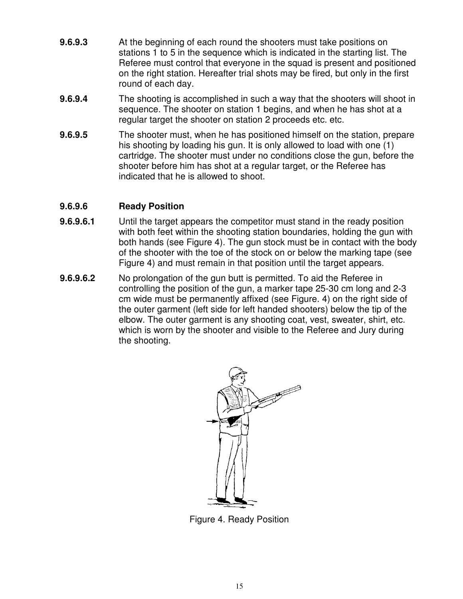- **9.6.9.3** At the beginning of each round the shooters must take positions on stations 1 to 5 in the sequence which is indicated in the starting list. The Referee must control that everyone in the squad is present and positioned on the right station. Hereafter trial shots may be fired, but only in the first round of each day.
- **9.6.9.4** The shooting is accomplished in such a way that the shooters will shoot in sequence. The shooter on station 1 begins, and when he has shot at a regular target the shooter on station 2 proceeds etc. etc.
- **9.6.9.5** The shooter must, when he has positioned himself on the station, prepare his shooting by loading his gun. It is only allowed to load with one (1) cartridge. The shooter must under no conditions close the gun, before the shooter before him has shot at a regular target, or the Referee has indicated that he is allowed to shoot.

#### **9.6.9.6 Ready Position**

- **9.6.9.6.1** Until the target appears the competitor must stand in the ready position with both feet within the shooting station boundaries, holding the gun with both hands (see Figure 4). The gun stock must be in contact with the body of the shooter with the toe of the stock on or below the marking tape (see Figure 4) and must remain in that position until the target appears.
- **9.6.9.6.2** No prolongation of the gun butt is permitted. To aid the Referee in controlling the position of the gun, a marker tape 25-30 cm long and 2-3 cm wide must be permanently affixed (see Figure. 4) on the right side of the outer garment (left side for left handed shooters) below the tip of the elbow. The outer garment is any shooting coat, vest, sweater, shirt, etc. which is worn by the shooter and visible to the Referee and Jury during the shooting.



Figure 4. Ready Position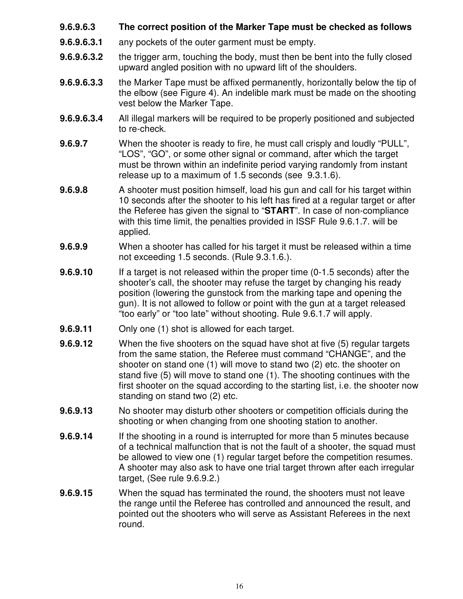- **9.6.9.6.3 The correct position of the Marker Tape must be checked as follows**
- **9.6.9.6.3.1** any pockets of the outer garment must be empty.
- **9.6.9.6.3.2** the trigger arm, touching the body, must then be bent into the fully closed upward angled position with no upward lift of the shoulders.
- **9.6.9.6.3.3** the Marker Tape must be affixed permanently, horizontally below the tip of the elbow (see Figure 4). An indelible mark must be made on the shooting vest below the Marker Tape.
- **9.6.9.6.3.4** All illegal markers will be required to be properly positioned and subjected to re-check.
- **9.6.9.7** When the shooter is ready to fire, he must call crisply and loudly "PULL", "LOS", "GO", or some other signal or command, after which the target must be thrown within an indefinite period varying randomly from instant release up to a maximum of 1.5 seconds (see 9.3.1.6).
- **9.6.9.8** A shooter must position himself, load his gun and call for his target within 10 seconds after the shooter to his left has fired at a regular target or after the Referee has given the signal to "**START**". In case of non-compliance with this time limit, the penalties provided in ISSF Rule 9.6.1.7. will be applied.
- **9.6.9.9** When a shooter has called for his target it must be released within a time not exceeding 1.5 seconds. (Rule 9.3.1.6.).
- **9.6.9.10** If a target is not released within the proper time (0-1.5 seconds) after the shooter's call, the shooter may refuse the target by changing his ready position (lowering the gunstock from the marking tape and opening the gun). It is not allowed to follow or point with the gun at a target released "too early" or "too late" without shooting. Rule 9.6.1.7 will apply.
- **9.6.9.11** Only one (1) shot is allowed for each target.
- **9.6.9.12** When the five shooters on the squad have shot at five (5) regular targets from the same station, the Referee must command "CHANGE", and the shooter on stand one (1) will move to stand two (2) etc. the shooter on stand five (5) will move to stand one (1). The shooting continues with the first shooter on the squad according to the starting list, i.e. the shooter now standing on stand two (2) etc.
- **9.6.9.13** No shooter may disturb other shooters or competition officials during the shooting or when changing from one shooting station to another.
- **9.6.9.14** If the shooting in a round is interrupted for more than 5 minutes because of a technical malfunction that is not the fault of a shooter, the squad must be allowed to view one (1) regular target before the competition resumes. A shooter may also ask to have one trial target thrown after each irregular target, (See rule 9.6.9.2.)
- **9.6.9.15** When the squad has terminated the round, the shooters must not leave the range until the Referee has controlled and announced the result, and pointed out the shooters who will serve as Assistant Referees in the next round.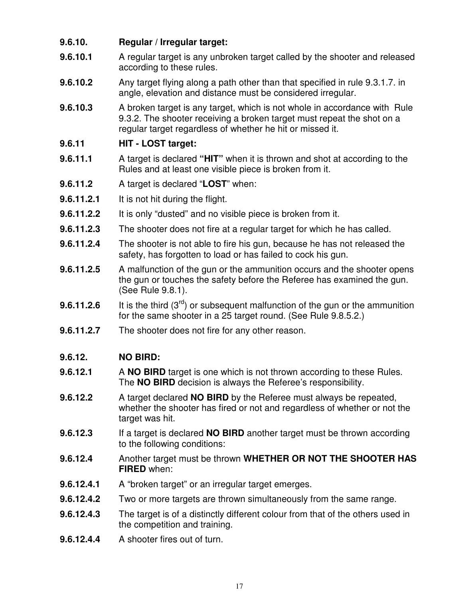#### **9.6.10. Regular / Irregular target:**

- **9.6.10.1** A regular target is any unbroken target called by the shooter and released according to these rules.
- **9.6.10.2** Any target flying along a path other than that specified in rule 9.3.1.7. in angle, elevation and distance must be considered irregular.
- **9.6.10.3** A broken target is any target, which is not whole in accordance with Rule 9.3.2. The shooter receiving a broken target must repeat the shot on a regular target regardless of whether he hit or missed it.

#### **9.6.11 HIT - LOST target:**

- **9.6.11.1** A target is declared **"HIT"** when it is thrown and shot at according to the Rules and at least one visible piece is broken from it.
- **9.6.11.2** A target is declared "**LOST**" when:
- **9.6.11.2.1** It is not hit during the flight.
- **9.6.11.2.2** It is only "dusted" and no visible piece is broken from it.
- **9.6.11.2.3** The shooter does not fire at a regular target for which he has called.
- **9.6.11.2.4** The shooter is not able to fire his gun, because he has not released the safety, has forgotten to load or has failed to cock his gun.
- **9.6.11.2.5** A malfunction of the gun or the ammunition occurs and the shooter opens the gun or touches the safety before the Referee has examined the gun. (See Rule 9.8.1).
- **9.6.11.2.6** It is the third (3<sup>rd</sup>) or subsequent malfunction of the gun or the ammunition for the same shooter in a 25 target round. (See Rule 9.8.5.2.)
- **9.6.11.2.7** The shooter does not fire for any other reason.

#### **9.6.12. NO BIRD:**

- **9.6.12.1** A **NO BIRD** target is one which is not thrown according to these Rules. The **NO BIRD** decision is always the Referee's responsibility.
- **9.6.12.2** A target declared **NO BIRD** by the Referee must always be repeated, whether the shooter has fired or not and regardless of whether or not the target was hit.
- **9.6.12.3** If a target is declared **NO BIRD** another target must be thrown according to the following conditions:
- **9.6.12.4** Another target must be thrown **WHETHER OR NOT THE SHOOTER HAS FIRED** when:
- **9.6.12.4.1** A "broken target" or an irregular target emerges.
- **9.6.12.4.2** Two or more targets are thrown simultaneously from the same range.
- **9.6.12.4.3** The target is of a distinctly different colour from that of the others used in the competition and training.
- **9.6.12.4.4** A shooter fires out of turn.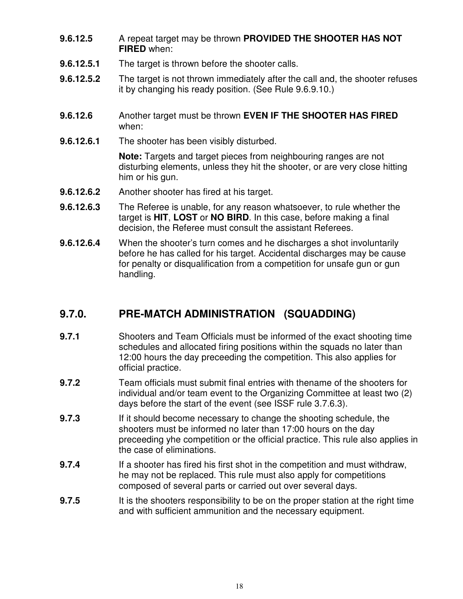- **9.6.12.5** A repeat target may be thrown **PROVIDED THE SHOOTER HAS NOT FIRED** when:
- **9.6.12.5.1** The target is thrown before the shooter calls.
- **9.6.12.5.2** The target is not thrown immediately after the call and, the shooter refuses it by changing his ready position. (See Rule 9.6.9.10.)
- **9.6.12.6** Another target must be thrown **EVEN IF THE SHOOTER HAS FIRED** when:
- **9.6.12.6.1** The shooter has been visibly disturbed.

**Note:** Targets and target pieces from neighbouring ranges are not disturbing elements, unless they hit the shooter, or are very close hitting him or his gun.

- **9.6.12.6.2** Another shooter has fired at his target.
- **9.6.12.6.3** The Referee is unable, for any reason whatsoever, to rule whether the target is **HIT**, **LOST** or **NO BIRD**. In this case, before making a final decision, the Referee must consult the assistant Referees.
- **9.6.12.6.4** When the shooter's turn comes and he discharges a shot involuntarily before he has called for his target. Accidental discharges may be cause for penalty or disqualification from a competition for unsafe gun or gun handling.

## **9.7.0. PRE-MATCH ADMINISTRATION (SQUADDING)**

- **9.7.1** Shooters and Team Officials must be informed of the exact shooting time schedules and allocated firing positions within the squads no later than 12:00 hours the day preceeding the competition. This also applies for official practice.
- **9.7.2** Team officials must submit final entries with thename of the shooters for individual and/or team event to the Organizing Committee at least two (2) days before the start of the event (see ISSF rule 3.7.6.3).
- **9.7.3** If it should become necessary to change the shooting schedule, the shooters must be informed no later than 17:00 hours on the day preceeding yhe competition or the official practice. This rule also applies in the case of eliminations.
- **9.7.4** If a shooter has fired his first shot in the competition and must withdraw, he may not be replaced. This rule must also apply for competitions composed of several parts or carried out over several days.
- **9.7.5** It is the shooters responsibility to be on the proper station at the right time and with sufficient ammunition and the necessary equipment.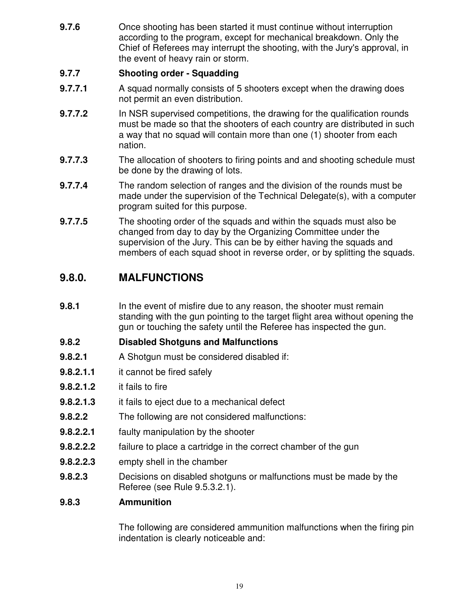**9.7.6** Once shooting has been started it must continue without interruption according to the program, except for mechanical breakdown. Only the Chief of Referees may interrupt the shooting, with the Jury's approval, in the event of heavy rain or storm.

#### **9.7.7 Shooting order - Squadding**

- **9.7.7.1** A squad normally consists of 5 shooters except when the drawing does not permit an even distribution.
- **9.7.7.2** In NSR supervised competitions, the drawing for the qualification rounds must be made so that the shooters of each country are distributed in such a way that no squad will contain more than one (1) shooter from each nation.
- **9.7.7.3** The allocation of shooters to firing points and and shooting schedule must be done by the drawing of lots.
- **9.7.7.4** The random selection of ranges and the division of the rounds must be made under the supervision of the Technical Delegate(s), with a computer program suited for this purpose.
- **9.7.7.5** The shooting order of the squads and within the squads must also be changed from day to day by the Organizing Committee under the supervision of the Jury. This can be by either having the squads and members of each squad shoot in reverse order, or by splitting the squads.

## **9.8.0. MALFUNCTIONS**

**9.8.1** In the event of misfire due to any reason, the shooter must remain standing with the gun pointing to the target flight area without opening the gun or touching the safety until the Referee has inspected the gun.

#### **9.8.2 Disabled Shotguns and Malfunctions**

- **9.8.2.1** A Shotgun must be considered disabled if:
- **9.8.2.1.1** it cannot be fired safely
- **9.8.2.1.2** it fails to fire
- **9.8.2.1.3** it fails to eject due to a mechanical defect
- **9.8.2.2** The following are not considered malfunctions:
- **9.8.2.2.1** faulty manipulation by the shooter
- **9.8.2.2.2** failure to place a cartridge in the correct chamber of the gun
- **9.8.2.2.3** empty shell in the chamber
- **9.8.2.3** Decisions on disabled shotguns or malfunctions must be made by the Referee (see Rule 9.5.3.2.1).

#### **9.8.3 Ammunition**

The following are considered ammunition malfunctions when the firing pin indentation is clearly noticeable and: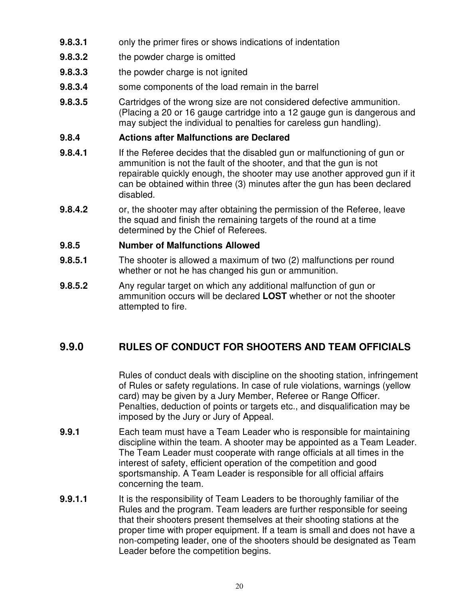- **9.8.3.1** only the primer fires or shows indications of indentation
- **9.8.3.2** the powder charge is omitted
- **9.8.3.3** the powder charge is not ignited
- **9.8.3.4** some components of the load remain in the barrel
- **9.8.3.5** Cartridges of the wrong size are not considered defective ammunition. (Placing a 20 or 16 gauge cartridge into a 12 gauge gun is dangerous and may subject the individual to penalties for careless gun handling).

#### **9.8.4 Actions after Malfunctions are Declared**

- **9.8.4.1** If the Referee decides that the disabled gun or malfunctioning of gun or ammunition is not the fault of the shooter, and that the gun is not repairable quickly enough, the shooter may use another approved gun if it can be obtained within three (3) minutes after the gun has been declared disabled.
- **9.8.4.2** or, the shooter may after obtaining the permission of the Referee, leave the squad and finish the remaining targets of the round at a time determined by the Chief of Referees.

#### **9.8.5 Number of Malfunctions Allowed**

- **9.8.5.1** The shooter is allowed a maximum of two (2) malfunctions per round whether or not he has changed his gun or ammunition.
- **9.8.5.2** Any regular target on which any additional malfunction of gun or ammunition occurs will be declared **LOST** whether or not the shooter attempted to fire.

## **9.9.0 RULES OF CONDUCT FOR SHOOTERS AND TEAM OFFICIALS**

Rules of conduct deals with discipline on the shooting station, infringement of Rules or safety regulations. In case of rule violations, warnings (yellow card) may be given by a Jury Member, Referee or Range Officer. Penalties, deduction of points or targets etc., and disqualification may be imposed by the Jury or Jury of Appeal.

- **9.9.1** Each team must have a Team Leader who is responsible for maintaining discipline within the team. A shooter may be appointed as a Team Leader. The Team Leader must cooperate with range officials at all times in the interest of safety, efficient operation of the competition and good sportsmanship. A Team Leader is responsible for all official affairs concerning the team.
- **9.9.1.1** It is the responsibility of Team Leaders to be thoroughly familiar of the Rules and the program. Team leaders are further responsible for seeing that their shooters present themselves at their shooting stations at the proper time with proper equipment. If a team is small and does not have a non-competing leader, one of the shooters should be designated as Team Leader before the competition begins.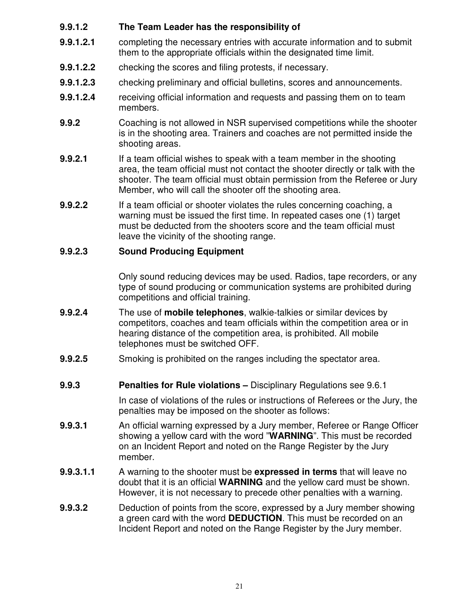#### **9.9.1.2 The Team Leader has the responsibility of**

- **9.9.1.2.1** completing the necessary entries with accurate information and to submit them to the appropriate officials within the designated time limit.
- **9.9.1.2.2** checking the scores and filing protests, if necessary.
- **9.9.1.2.3** checking preliminary and official bulletins, scores and announcements.
- **9.9.1.2.4** receiving official information and requests and passing them on to team members.
- **9.9.2** Coaching is not allowed in NSR supervised competitions while the shooter is in the shooting area. Trainers and coaches are not permitted inside the shooting areas.
- **9.9.2.1** If a team official wishes to speak with a team member in the shooting area, the team official must not contact the shooter directly or talk with the shooter. The team official must obtain permission from the Referee or Jury Member, who will call the shooter off the shooting area.
- **9.9.2.2** If a team official or shooter violates the rules concerning coaching, a warning must be issued the first time. In repeated cases one (1) target must be deducted from the shooters score and the team official must leave the vicinity of the shooting range.

#### **9.9.2.3 Sound Producing Equipment**

Only sound reducing devices may be used. Radios, tape recorders, or any type of sound producing or communication systems are prohibited during competitions and official training.

- **9.9.2.4** The use of **mobile telephones**, walkie-talkies or similar devices by competitors, coaches and team officials within the competition area or in hearing distance of the competition area, is prohibited. All mobile telephones must be switched OFF.
- **9.9.2.5** Smoking is prohibited on the ranges including the spectator area.
- **9.9.3 Penalties for Rule violations –** Disciplinary Regulations see 9.6.1

In case of violations of the rules or instructions of Referees or the Jury, the penalties may be imposed on the shooter as follows:

- **9.9.3.1** An official warning expressed by a Jury member, Referee or Range Officer showing a yellow card with the word "**WARNING**". This must be recorded on an Incident Report and noted on the Range Register by the Jury member.
- **9.9.3.1.1** A warning to the shooter must be **expressed in terms** that will leave no doubt that it is an official **WARNING** and the yellow card must be shown. However, it is not necessary to precede other penalties with a warning.
- **9.9.3.2** Deduction of points from the score, expressed by a Jury member showing a green card with the word **DEDUCTION**. This must be recorded on an Incident Report and noted on the Range Register by the Jury member.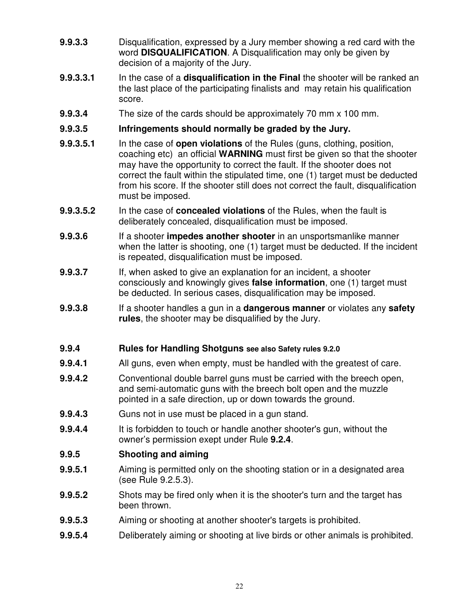- **9.9.3.3** Disqualification, expressed by a Jury member showing a red card with the word **DISQUALIFICATION**. A Disqualification may only be given by decision of a majority of the Jury.
- **9.9.3.3.1** In the case of a **disqualification in the Final** the shooter will be ranked an the last place of the participating finalists and may retain his qualification score.
- **9.9.3.4** The size of the cards should be approximately 70 mm x 100 mm.

#### **9.9.3.5 Infringements should normally be graded by the Jury.**

- **9.9.3.5.1** In the case of **open violations** of the Rules (guns, clothing, position, coaching etc) an official **WARNING** must first be given so that the shooter may have the opportunity to correct the fault. If the shooter does not correct the fault within the stipulated time, one (1) target must be deducted from his score. If the shooter still does not correct the fault, disqualification must be imposed.
- **9.9.3.5.2** In the case of **concealed violations** of the Rules, when the fault is deliberately concealed, disqualification must be imposed.
- **9.9.3.6** If a shooter **impedes another shooter** in an unsportsmanlike manner when the latter is shooting, one (1) target must be deducted. If the incident is repeated, disqualification must be imposed.
- **9.9.3.7** If, when asked to give an explanation for an incident, a shooter consciously and knowingly gives **false information**, one (1) target must be deducted. In serious cases, disqualification may be imposed.
- **9.9.3.8** If a shooter handles a gun in a **dangerous manner** or violates any **safety rules**, the shooter may be disqualified by the Jury.

#### **9.9.4 Rules for Handling Shotguns see also Safety rules 9.2.0**

- **9.9.4.1** All guns, even when empty, must be handled with the greatest of care.
- **9.9.4.2** Conventional double barrel guns must be carried with the breech open, and semi-automatic guns with the breech bolt open and the muzzle pointed in a safe direction, up or down towards the ground.
- **9.9.4.3** Guns not in use must be placed in a gun stand.
- **9.9.4.4** It is forbidden to touch or handle another shooter's gun, without the owner's permission exept under Rule **9.2.4**.

#### **9.9.5 Shooting and aiming**

- **9.9.5.1** Aiming is permitted only on the shooting station or in a designated area (see Rule 9.2.5.3).
- **9.9.5.2** Shots may be fired only when it is the shooter's turn and the target has been thrown.
- **9.9.5.3** Aiming or shooting at another shooter's targets is prohibited.
- **9.9.5.4** Deliberately aiming or shooting at live birds or other animals is prohibited.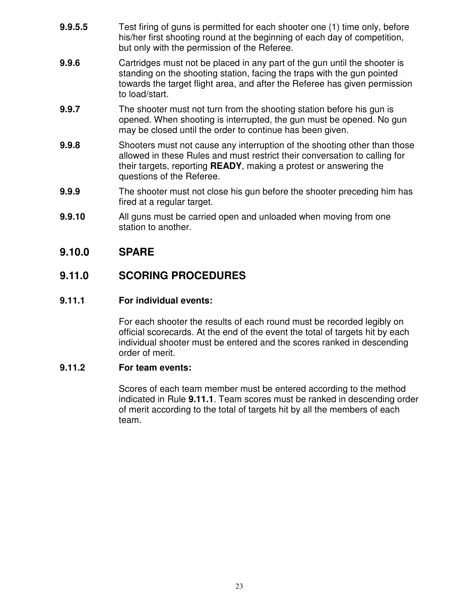- **9.9.5.5** Test firing of guns is permitted for each shooter one (1) time only, before his/her first shooting round at the beginning of each day of competition, but only with the permission of the Referee.
- **9.9.6** Cartridges must not be placed in any part of the gun until the shooter is standing on the shooting station, facing the traps with the gun pointed towards the target flight area, and after the Referee has given permission to load/start.
- **9.9.7** The shooter must not turn from the shooting station before his gun is opened. When shooting is interrupted, the gun must be opened. No gun may be closed until the order to continue has been given.
- **9.9.8** Shooters must not cause any interruption of the shooting other than those allowed in these Rules and must restrict their conversation to calling for their targets, reporting **READY**, making a protest or answering the questions of the Referee.
- **9.9.9** The shooter must not close his gun before the shooter preceding him has fired at a regular target.
- **9.9.10** All guns must be carried open and unloaded when moving from one station to another.

## **9.10.0 SPARE**

## **9.11.0 SCORING PROCEDURES**

#### **9.11.1 For individual events:**

For each shooter the results of each round must be recorded legibly on official scorecards. At the end of the event the total of targets hit by each individual shooter must be entered and the scores ranked in descending order of merit.

#### **9.11.2 For team events:**

Scores of each team member must be entered according to the method indicated in Rule **9.11.1**. Team scores must be ranked in descending order of merit according to the total of targets hit by all the members of each team.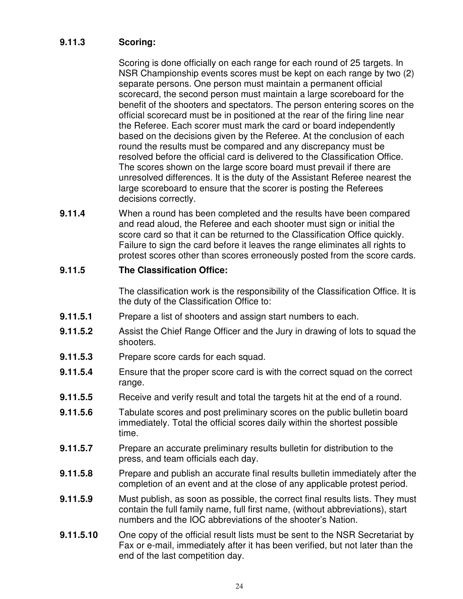#### **9.11.3 Scoring:**

Scoring is done officially on each range for each round of 25 targets. In NSR Championship events scores must be kept on each range by two (2) separate persons. One person must maintain a permanent official scorecard, the second person must maintain a large scoreboard for the benefit of the shooters and spectators. The person entering scores on the official scorecard must be in positioned at the rear of the firing line near the Referee. Each scorer must mark the card or board independently based on the decisions given by the Referee. At the conclusion of each round the results must be compared and any discrepancy must be resolved before the official card is delivered to the Classification Office. The scores shown on the large score board must prevail if there are unresolved differences. It is the duty of the Assistant Referee nearest the large scoreboard to ensure that the scorer is posting the Referees decisions correctly.

**9.11.4** When a round has been completed and the results have been compared and read aloud, the Referee and each shooter must sign or initial the score card so that it can be returned to the Classification Office quickly. Failure to sign the card before it leaves the range eliminates all rights to protest scores other than scores erroneously posted from the score cards.

#### **9.11.5 The Classification Office:**

The classification work is the responsibility of the Classification Office. It is the duty of the Classification Office to:

- **9.11.5.1** Prepare a list of shooters and assign start numbers to each.
- **9.11.5.2** Assist the Chief Range Officer and the Jury in drawing of lots to squad the shooters.
- **9.11.5.3** Prepare score cards for each squad.
- **9.11.5.4** Ensure that the proper score card is with the correct squad on the correct range.
- **9.11.5.5** Receive and verify result and total the targets hit at the end of a round.
- **9.11.5.6** Tabulate scores and post preliminary scores on the public bulletin board immediately. Total the official scores daily within the shortest possible time.
- **9.11.5.7** Prepare an accurate preliminary results bulletin for distribution to the press, and team officials each day.
- **9.11.5.8** Prepare and publish an accurate final results bulletin immediately after the completion of an event and at the close of any applicable protest period.
- **9.11.5.9** Must publish, as soon as possible, the correct final results lists. They must contain the full family name, full first name, (without abbreviations), start numbers and the IOC abbreviations of the shooter's Nation.
- **9.11.5.10** One copy of the official result lists must be sent to the NSR Secretariat by Fax or e-mail, immediately after it has been verified, but not later than the end of the last competition day.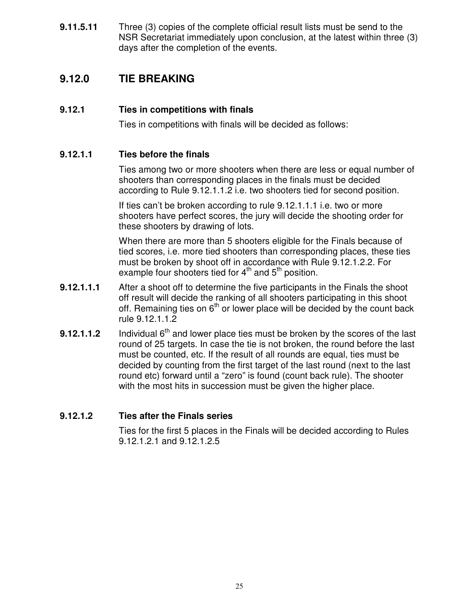**9.11.5.11** Three (3) copies of the complete official result lists must be send to the NSR Secretariat immediately upon conclusion, at the latest within three (3) days after the completion of the events.

## **9.12.0 TIE BREAKING**

#### **9.12.1 Ties in competitions with finals**

Ties in competitions with finals will be decided as follows:

#### **9.12.1.1 Ties before the finals**

Ties among two or more shooters when there are less or equal number of shooters than corresponding places in the finals must be decided according to Rule 9.12.1.1.2 i.e. two shooters tied for second position.

If ties can't be broken according to rule 9.12.1.1.1 i.e. two or more shooters have perfect scores, the jury will decide the shooting order for these shooters by drawing of lots.

When there are more than 5 shooters eligible for the Finals because of tied scores, i.e. more tied shooters than corresponding places, these ties must be broken by shoot off in accordance with Rule 9.12.1.2.2. For example four shooters tied for  $4^{\text{th}}$  and  $5^{\text{th}}$  position.

- **9.12.1.1.1** After a shoot off to determine the five participants in the Finals the shoot off result will decide the ranking of all shooters participating in this shoot off. Remaining ties on 6<sup>th</sup> or lower place will be decided by the count back rule 9.12.1.1.2
- **9.12.1.1.2** Individual  $6<sup>th</sup>$  and lower place ties must be broken by the scores of the last round of 25 targets. In case the tie is not broken, the round before the last must be counted, etc. If the result of all rounds are equal, ties must be decided by counting from the first target of the last round (next to the last round etc) forward until a "zero" is found (count back rule). The shooter with the most hits in succession must be given the higher place.

#### **9.12.1.2 Ties after the Finals series**

Ties for the first 5 places in the Finals will be decided according to Rules 9.12.1.2.1 and 9.12.1.2.5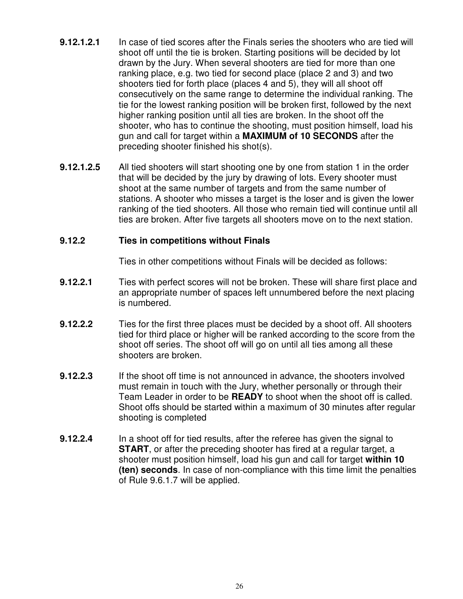- **9.12.1.2.1** In case of tied scores after the Finals series the shooters who are tied will shoot off until the tie is broken. Starting positions will be decided by lot drawn by the Jury. When several shooters are tied for more than one ranking place, e.g. two tied for second place (place 2 and 3) and two shooters tied for forth place (places 4 and 5), they will all shoot off consecutively on the same range to determine the individual ranking. The tie for the lowest ranking position will be broken first, followed by the next higher ranking position until all ties are broken. In the shoot off the shooter, who has to continue the shooting, must position himself, load his gun and call for target within a **MAXIMUM of 10 SECONDS** after the preceding shooter finished his shot(s).
- **9.12.1.2.5** All tied shooters will start shooting one by one from station 1 in the order that will be decided by the jury by drawing of lots. Every shooter must shoot at the same number of targets and from the same number of stations. A shooter who misses a target is the loser and is given the lower ranking of the tied shooters. All those who remain tied will continue until all ties are broken. After five targets all shooters move on to the next station.

#### **9.12.2 Ties in competitions without Finals**

Ties in other competitions without Finals will be decided as follows:

- **9.12.2.1** Ties with perfect scores will not be broken. These will share first place and an appropriate number of spaces left unnumbered before the next placing is numbered.
- **9.12.2.2** Ties for the first three places must be decided by a shoot off. All shooters tied for third place or higher will be ranked according to the score from the shoot off series. The shoot off will go on until all ties among all these shooters are broken.
- **9.12.2.3** If the shoot off time is not announced in advance, the shooters involved must remain in touch with the Jury, whether personally or through their Team Leader in order to be **READY** to shoot when the shoot off is called. Shoot offs should be started within a maximum of 30 minutes after regular shooting is completed
- **9.12.2.4** In a shoot off for tied results, after the referee has given the signal to **START**, or after the preceding shooter has fired at a regular target, a shooter must position himself, load his gun and call for target **within 10 (ten) seconds**. In case of non-compliance with this time limit the penalties of Rule 9.6.1.7 will be applied.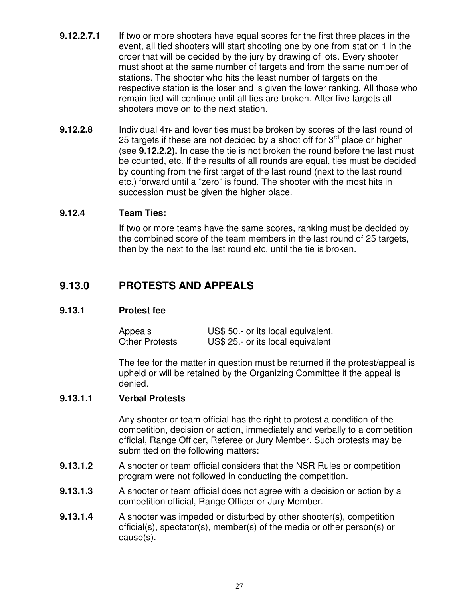- **9.12.2.7.1** If two or more shooters have equal scores for the first three places in the event, all tied shooters will start shooting one by one from station 1 in the order that will be decided by the jury by drawing of lots. Every shooter must shoot at the same number of targets and from the same number of stations. The shooter who hits the least number of targets on the respective station is the loser and is given the lower ranking. All those who remain tied will continue until all ties are broken. After five targets all shooters move on to the next station.
- **9.12.2.8** Individual 4<sub>TH</sub> and lover ties must be broken by scores of the last round of 25 targets if these are not decided by a shoot off for 3<sup>rd</sup> place or higher (see **9.12.2.2).** In case the tie is not broken the round before the last must be counted, etc. If the results of all rounds are equal, ties must be decided by counting from the first target of the last round (next to the last round etc.) forward until a "zero" is found. The shooter with the most hits in succession must be given the higher place.

#### **9.12.4 Team Ties:**

If two or more teams have the same scores, ranking must be decided by the combined score of the team members in the last round of 25 targets, then by the next to the last round etc. until the tie is broken.

### **9.13.0 PROTESTS AND APPEALS**

#### **9.13.1 Protest fee**

| Appeals               | US\$ 50 .- or its local equivalent. |
|-----------------------|-------------------------------------|
| <b>Other Protests</b> | US\$ 25 .- or its local equivalent  |

The fee for the matter in question must be returned if the protest/appeal is upheld or will be retained by the Organizing Committee if the appeal is denied.

#### **9.13.1.1 Verbal Protests**

Any shooter or team official has the right to protest a condition of the competition, decision or action, immediately and verbally to a competition official, Range Officer, Referee or Jury Member. Such protests may be submitted on the following matters:

- **9.13.1.2** A shooter or team official considers that the NSR Rules or competition program were not followed in conducting the competition.
- **9.13.1.3** A shooter or team official does not agree with a decision or action by a competition official, Range Officer or Jury Member.
- **9.13.1.4** A shooter was impeded or disturbed by other shooter(s), competition official(s), spectator(s), member(s) of the media or other person(s) or cause(s).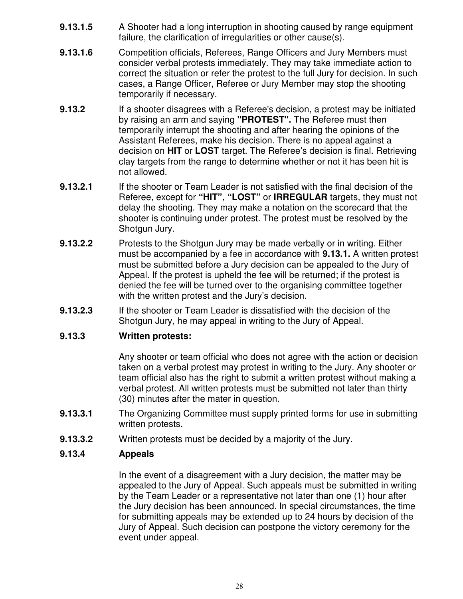- **9.13.1.5** A Shooter had a long interruption in shooting caused by range equipment failure, the clarification of irregularities or other cause(s).
- **9.13.1.6** Competition officials, Referees, Range Officers and Jury Members must consider verbal protests immediately. They may take immediate action to correct the situation or refer the protest to the full Jury for decision. In such cases, a Range Officer, Referee or Jury Member may stop the shooting temporarily if necessary.
- **9.13.2** If a shooter disagrees with a Referee's decision, a protest may be initiated by raising an arm and saying **"PROTEST".** The Referee must then temporarily interrupt the shooting and after hearing the opinions of the Assistant Referees, make his decision. There is no appeal against a decision on **HIT** or **LOST** target. The Referee's decision is final. Retrieving clay targets from the range to determine whether or not it has been hit is not allowed.
- **9.13.2.1** If the shooter or Team Leader is not satisfied with the final decision of the Referee, except for **"HIT"**, **"LOST"** or **IRREGULAR** targets, they must not delay the shooting. They may make a notation on the scorecard that the shooter is continuing under protest. The protest must be resolved by the Shotgun Jury.
- **9.13.2.2** Protests to the Shotgun Jury may be made verbally or in writing. Either must be accompanied by a fee in accordance with **9.13.1.** A written protest must be submitted before a Jury decision can be appealed to the Jury of Appeal. If the protest is upheld the fee will be returned; if the protest is denied the fee will be turned over to the organising committee together with the written protest and the Jury's decision.
- **9.13.2.3** If the shooter or Team Leader is dissatisfied with the decision of the Shotgun Jury, he may appeal in writing to the Jury of Appeal.

#### **9.13.3 Written protests:**

Any shooter or team official who does not agree with the action or decision taken on a verbal protest may protest in writing to the Jury. Any shooter or team official also has the right to submit a written protest without making a verbal protest. All written protests must be submitted not later than thirty (30) minutes after the mater in question.

- **9.13.3.1** The Organizing Committee must supply printed forms for use in submitting written protests.
- **9.13.3.2** Written protests must be decided by a majority of the Jury.

#### **9.13.4 Appeals**

In the event of a disagreement with a Jury decision, the matter may be appealed to the Jury of Appeal. Such appeals must be submitted in writing by the Team Leader or a representative not later than one (1) hour after the Jury decision has been announced. In special circumstances, the time for submitting appeals may be extended up to 24 hours by decision of the Jury of Appeal. Such decision can postpone the victory ceremony for the event under appeal.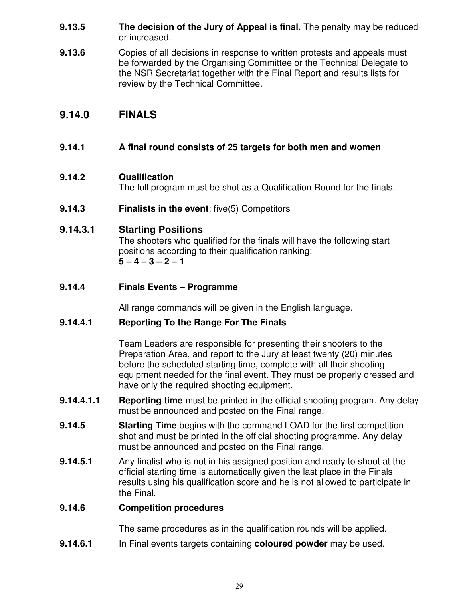- **9.13.5 The decision of the Jury of Appeal is final.** The penalty may be reduced or increased.
- **9.13.6** Copies of all decisions in response to written protests and appeals must be forwarded by the Organising Committee or the Technical Delegate to the NSR Secretariat together with the Final Report and results lists for review by the Technical Committee.

## **9.14.0 FINALS**

#### **9.14.1 A final round consists of 25 targets for both men and women**

#### **9.14.2 Qualification**

The full program must be shot as a Qualification Round for the finals.

**9.14.3 Finalists in the event**: five(5) Competitors

#### **9.14.3.1 Starting Positions**

The shooters who qualified for the finals will have the following start positions according to their qualification ranking: **5 – 4 – 3 – 2 – 1**

#### **9.14.4 Finals Events – Programme**

All range commands will be given in the English language.

#### **9.14.4.1 Reporting To the Range For The Finals**

Team Leaders are responsible for presenting their shooters to the Preparation Area, and report to the Jury at least twenty (20) minutes before the scheduled starting time, complete with all their shooting equipment needed for the final event. They must be properly dressed and have only the required shooting equipment.

- **9.14.4.1.1 Reporting time** must be printed in the official shooting program. Any delay must be announced and posted on the Final range.
- **9.14.5 Starting Time** begins with the command LOAD for the first competition shot and must be printed in the official shooting programme. Any delay must be announced and posted on the Final range.
- **9.14.5.1** Any finalist who is not in his assigned position and ready to shoot at the official starting time is automatically given the last place in the Finals results using his qualification score and he is not allowed to participate in the Final.

#### **9.14.6 Competition procedures**

The same procedures as in the qualification rounds will be applied.

**9.14.6.1** In Final events targets containing **coloured powder** may be used.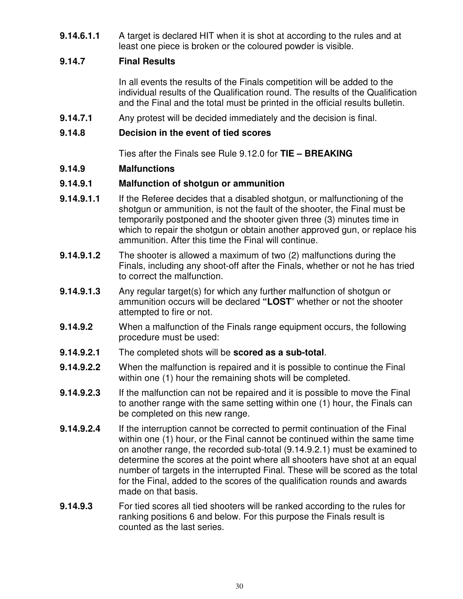**9.14.6.1.1** A target is declared HIT when it is shot at according to the rules and at least one piece is broken or the coloured powder is visible.

#### **9.14.7 Final Results**

In all events the results of the Finals competition will be added to the individual results of the Qualification round. The results of the Qualification and the Final and the total must be printed in the official results bulletin.

**9.14.7.1** Any protest will be decided immediately and the decision is final.

#### **9.14.8 Decision in the event of tied scores**

Ties after the Finals see Rule 9.12.0 for **TIE – BREAKING**

#### **9.14.9 Malfunctions**

#### **9.14.9.1 Malfunction of shotgun or ammunition**

- **9.14.9.1.1** If the Referee decides that a disabled shotgun, or malfunctioning of the shotgun or ammunition, is not the fault of the shooter, the Final must be temporarily postponed and the shooter given three (3) minutes time in which to repair the shotgun or obtain another approved gun, or replace his ammunition. After this time the Final will continue.
- **9.14.9.1.2** The shooter is allowed a maximum of two (2) malfunctions during the Finals, including any shoot-off after the Finals, whether or not he has tried to correct the malfunction.
- **9.14.9.1.3** Any regular target(s) for which any further malfunction of shotgun or ammunition occurs will be declared **"LOST**" whether or not the shooter attempted to fire or not.
- **9.14.9.2** When a malfunction of the Finals range equipment occurs, the following procedure must be used:
- **9.14.9.2.1** The completed shots will be **scored as a sub-total**.
- **9.14.9.2.2** When the malfunction is repaired and it is possible to continue the Final within one (1) hour the remaining shots will be completed.
- **9.14.9.2.3** If the malfunction can not be repaired and it is possible to move the Final to another range with the same setting within one (1) hour, the Finals can be completed on this new range.
- **9.14.9.2.4** If the interruption cannot be corrected to permit continuation of the Final within one (1) hour, or the Final cannot be continued within the same time on another range, the recorded sub-total (9.14.9.2.1) must be examined to determine the scores at the point where all shooters have shot at an equal number of targets in the interrupted Final. These will be scored as the total for the Final, added to the scores of the qualification rounds and awards made on that basis.
- **9.14.9.3** For tied scores all tied shooters will be ranked according to the rules for ranking positions 6 and below. For this purpose the Finals result is counted as the last series.